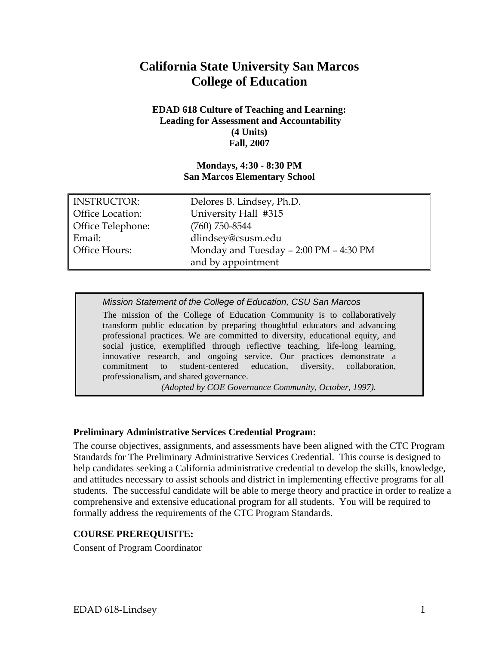# **California State University San Marcos College of Education**

#### **EDAD 618 Culture of Teaching and Learning: Leading for Assessment and Accountability (4 Units) Fall, 2007**

#### **Mondays, 4:30 - 8:30 PM San Marcos Elementary School**

| <b>INSTRUCTOR:</b>      | Delores B. Lindsey, Ph.D.              |
|-------------------------|----------------------------------------|
| <b>Office Location:</b> | University Hall #315                   |
| Office Telephone:       | $(760)$ 750-8544                       |
| Email:                  | dlindsey@csusm.edu                     |
| Office Hours:           | Monday and Tuesday - 2:00 PM - 4:30 PM |
|                         | and by appointment                     |

*Mission Statement of the College of Education, CSU San Marcos* 

The mission of the College of Education Community is to collaboratively transform public education by preparing thoughtful educators and advancing professional practices. We are committed to diversity, educational equity, and social justice, exemplified through reflective teaching, life-long learning, innovative research, and ongoing service. Our practices demonstrate a commitment to student-centered education, diversity, collaboration, professionalism, and shared governance.

*(Adopted by COE Governance Community, October, 1997).*

## **Preliminary Administrative Services Credential Program:**

The course objectives, assignments, and assessments have been aligned with the CTC Program Standards for The Preliminary Administrative Services Credential. This course is designed to help candidates seeking a California administrative credential to develop the skills, knowledge, and attitudes necessary to assist schools and district in implementing effective programs for all students. The successful candidate will be able to merge theory and practice in order to realize a comprehensive and extensive educational program for all students. You will be required to formally address the requirements of the CTC Program Standards.

## **COURSE PREREQUISITE:**

Consent of Program Coordinator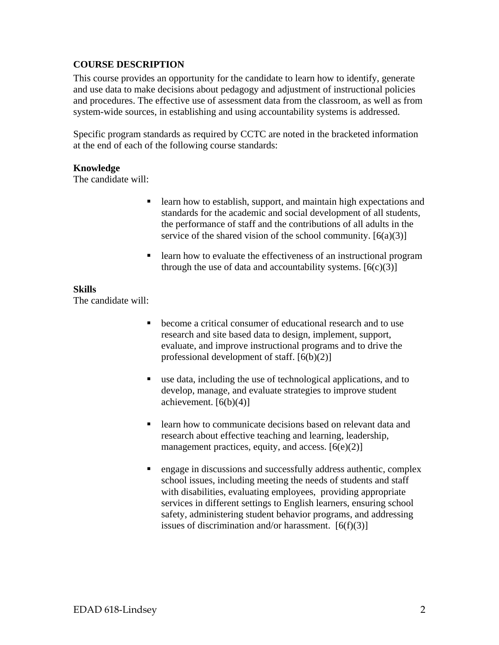## **COURSE DESCRIPTION**

This course provides an opportunity for the candidate to learn how to identify, generate and use data to make decisions about pedagogy and adjustment of instructional policies and procedures. The effective use of assessment data from the classroom, as well as from system-wide sources, in establishing and using accountability systems is addressed.

Specific program standards as required by CCTC are noted in the bracketed information at the end of each of the following course standards:

#### **Knowledge**

The candidate will:

- learn how to establish, support, and maintain high expectations and standards for the academic and social development of all students, the performance of staff and the contributions of all adults in the service of the shared vision of the school community.  $[6(a)(3)]$
- **Example 1** learn how to evaluate the effectiveness of an instructional program through the use of data and accountability systems.  $[6(c)(3)]$

#### **Skills**

The candidate will:

- become a critical consumer of educational research and to use research and site based data to design, implement, support, evaluate, and improve instructional programs and to drive the professional development of staff. [6(b)(2)]
- use data, including the use of technological applications, and to develop, manage, and evaluate strategies to improve student achievement.  $[6(b)(4)]$
- **Example 1** learn how to communicate decisions based on relevant data and research about effective teaching and learning, leadership, management practices, equity, and access.  $[6(e)(2)]$
- **e** engage in discussions and successfully address authentic, complex school issues, including meeting the needs of students and staff with disabilities, evaluating employees, providing appropriate services in different settings to English learners, ensuring school safety, administering student behavior programs, and addressing issues of discrimination and/or harassment.  $[6(f)(3)]$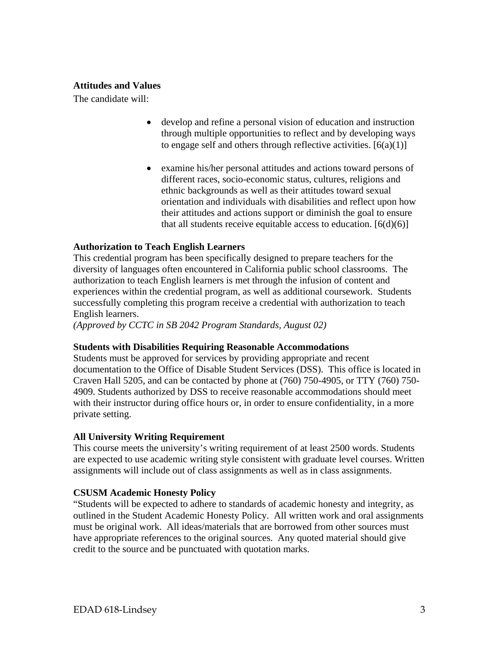### **Attitudes and Values**

The candidate will:

- develop and refine a personal vision of education and instruction through multiple opportunities to reflect and by developing ways to engage self and others through reflective activities.  $[6(a)(1)]$
- examine his/her personal attitudes and actions toward persons of different races, socio-economic status, cultures, religions and ethnic backgrounds as well as their attitudes toward sexual orientation and individuals with disabilities and reflect upon how their attitudes and actions support or diminish the goal to ensure that all students receive equitable access to education.  $[6(d)(6)]$

## **Authorization to Teach English Learners**

This credential program has been specifically designed to prepare teachers for the diversity of languages often encountered in California public school classrooms. The authorization to teach English learners is met through the infusion of content and experiences within the credential program, as well as additional coursework. Students successfully completing this program receive a credential with authorization to teach English learners.

*(Approved by CCTC in SB 2042 Program Standards, August 02)*

#### **Students with Disabilities Requiring Reasonable Accommodations**

Students must be approved for services by providing appropriate and recent documentation to the Office of Disable Student Services (DSS). This office is located in Craven Hall 5205, and can be contacted by phone at (760) 750-4905, or TTY (760) 750- 4909. Students authorized by DSS to receive reasonable accommodations should meet with their instructor during office hours or, in order to ensure confidentiality, in a more private setting.

#### **All University Writing Requirement**

This course meets the university's writing requirement of at least 2500 words. Students are expected to use academic writing style consistent with graduate level courses. Written assignments will include out of class assignments as well as in class assignments.

#### **CSUSM Academic Honesty Policy**

"Students will be expected to adhere to standards of academic honesty and integrity, as outlined in the Student Academic Honesty Policy. All written work and oral assignments must be original work. All ideas/materials that are borrowed from other sources must have appropriate references to the original sources. Any quoted material should give credit to the source and be punctuated with quotation marks.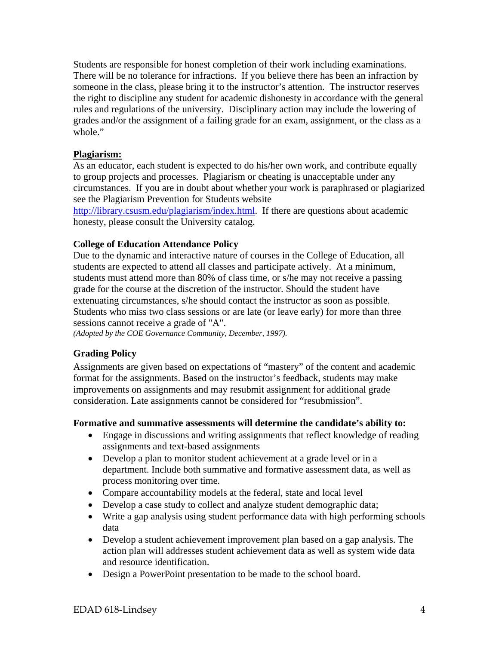Students are responsible for honest completion of their work including examinations. There will be no tolerance for infractions. If you believe there has been an infraction by someone in the class, please bring it to the instructor's attention. The instructor reserves the right to discipline any student for academic dishonesty in accordance with the general rules and regulations of the university. Disciplinary action may include the lowering of grades and/or the assignment of a failing grade for an exam, assignment, or the class as a whole."

## **Plagiarism:**

As an educator, each student is expected to do his/her own work, and contribute equally to group projects and processes. Plagiarism or cheating is unacceptable under any circumstances. If you are in doubt about whether your work is paraphrased or plagiarized see the Plagiarism Prevention for Students website

http://library.csusm.edu/plagiarism/index.html. If there are questions about academic honesty, please consult the University catalog.

#### **College of Education Attendance Policy**

Due to the dynamic and interactive nature of courses in the College of Education, all students are expected to attend all classes and participate actively. At a minimum, students must attend more than 80% of class time, or s/he may not receive a passing grade for the course at the discretion of the instructor. Should the student have extenuating circumstances, s/he should contact the instructor as soon as possible. Students who miss two class sessions or are late (or leave early) for more than three sessions cannot receive a grade of "A".

*(Adopted by the COE Governance Community, December, 1997).* 

## **Grading Policy**

Assignments are given based on expectations of "mastery" of the content and academic format for the assignments. Based on the instructor's feedback, students may make improvements on assignments and may resubmit assignment for additional grade consideration. Late assignments cannot be considered for "resubmission".

#### **Formative and summative assessments will determine the candidate's ability to:**

- Engage in discussions and writing assignments that reflect knowledge of reading assignments and text-based assignments
- Develop a plan to monitor student achievement at a grade level or in a department. Include both summative and formative assessment data, as well as process monitoring over time.
- Compare accountability models at the federal, state and local level
- Develop a case study to collect and analyze student demographic data;
- Write a gap analysis using student performance data with high performing schools data
- Develop a student achievement improvement plan based on a gap analysis. The action plan will addresses student achievement data as well as system wide data and resource identification.
- Design a PowerPoint presentation to be made to the school board.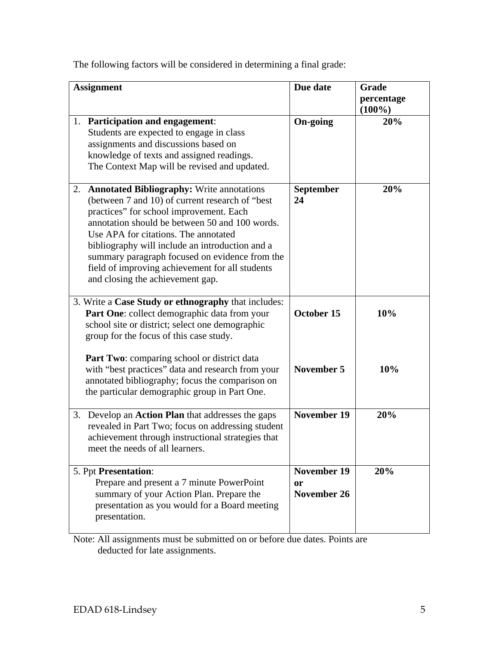The following factors will be considered in determining a final grade:

| <b>Assignment</b>                                                                                                                                                                                                                                                                                                                                                                                                                 | Due date                         | Grade<br>percentage<br>$(100\%)$ |
|-----------------------------------------------------------------------------------------------------------------------------------------------------------------------------------------------------------------------------------------------------------------------------------------------------------------------------------------------------------------------------------------------------------------------------------|----------------------------------|----------------------------------|
| 1. Participation and engagement:<br>Students are expected to engage in class<br>assignments and discussions based on<br>knowledge of texts and assigned readings.<br>The Context Map will be revised and updated.                                                                                                                                                                                                                 | <b>On-going</b>                  | 20%                              |
| 2. Annotated Bibliography: Write annotations<br>(between 7 and 10) of current research of "best"<br>practices" for school improvement. Each<br>annotation should be between 50 and 100 words.<br>Use APA for citations. The annotated<br>bibliography will include an introduction and a<br>summary paragraph focused on evidence from the<br>field of improving achievement for all students<br>and closing the achievement gap. | September<br>24                  | 20%                              |
| 3. Write a Case Study or ethnography that includes:<br>Part One: collect demographic data from your<br>school site or district; select one demographic<br>group for the focus of this case study.                                                                                                                                                                                                                                 | October 15                       | 10%                              |
| <b>Part Two:</b> comparing school or district data<br>with "best practices" data and research from your<br>annotated bibliography; focus the comparison on<br>the particular demographic group in Part One.                                                                                                                                                                                                                       | November 5                       | 10%                              |
| Develop an <b>Action Plan</b> that addresses the gaps<br>3.<br>revealed in Part Two; focus on addressing student<br>achievement through instructional strategies that<br>meet the needs of all learners.                                                                                                                                                                                                                          | <b>November 19</b>               | 20%                              |
| 5. Ppt Presentation:<br>Prepare and present a 7 minute PowerPoint<br>summary of your Action Plan. Prepare the<br>presentation as you would for a Board meeting<br>presentation.                                                                                                                                                                                                                                                   | November 19<br>0r<br>November 26 | 20%                              |

Note: All assignments must be submitted on or before due dates. Points are deducted for late assignments.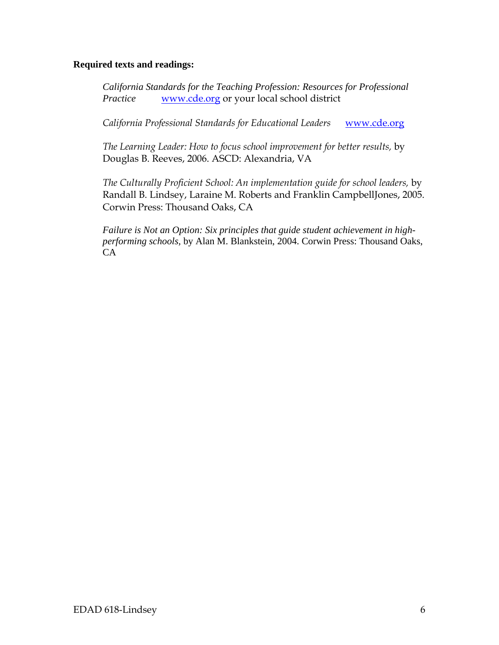#### **Required texts and readings:**

*California Standards for the Teaching Profession: Resources for Professional Practice* www.cde.org or your local school district

*California Professional Standards for Educational Leaders* www.cde.org

*The Learning Leader: How to focus school improvement for better results,* by Douglas B. Reeves, 2006. ASCD: Alexandria, VA

*The Culturally Proficient School: An implementation guide for school leaders,* by Randall B. Lindsey, Laraine M. Roberts and Franklin CampbellJones, 2005. Corwin Press: Thousand Oaks, CA

*Failure is Not an Option: Six principles that guide student achievement in highperforming schools,* by Alan M. Blankstein, 2004. Corwin Press: Thousand Oaks, CA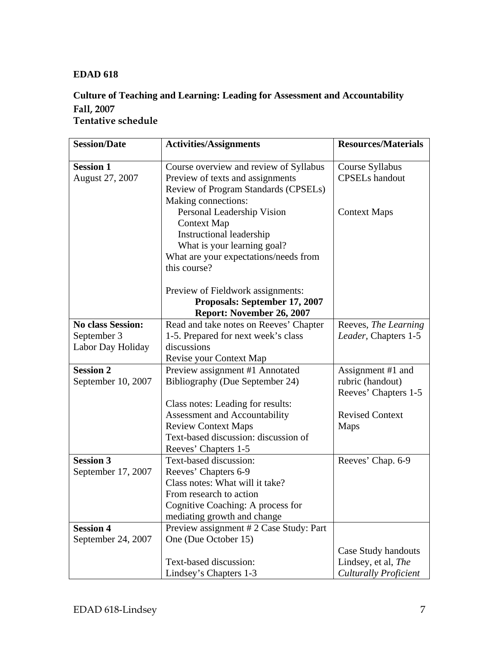## **EDAD 618**

## **Culture of Teaching and Learning: Leading for Assessment and Accountability Fall, 2007 Tentative schedule**

| <b>Session/Date</b>      | <b>Activities/Assignments</b>                                         | <b>Resources/Materials</b>               |
|--------------------------|-----------------------------------------------------------------------|------------------------------------------|
| <b>Session 1</b>         |                                                                       |                                          |
|                          | Course overview and review of Syllabus                                | Course Syllabus<br><b>CPSELs</b> handout |
| August 27, 2007          | Preview of texts and assignments                                      |                                          |
|                          | Review of Program Standards (CPSELs)<br>Making connections:           |                                          |
|                          | Personal Leadership Vision                                            | <b>Context Maps</b>                      |
|                          | <b>Context Map</b>                                                    |                                          |
|                          | Instructional leadership                                              |                                          |
|                          | What is your learning goal?                                           |                                          |
|                          | What are your expectations/needs from                                 |                                          |
|                          | this course?                                                          |                                          |
|                          |                                                                       |                                          |
|                          | Preview of Fieldwork assignments:                                     |                                          |
|                          | Proposals: September 17, 2007                                         |                                          |
|                          | Report: November 26, 2007                                             |                                          |
| <b>No class Session:</b> | Read and take notes on Reeves' Chapter                                | Reeves, The Learning                     |
| September 3              | 1-5. Prepared for next week's class                                   | Leader, Chapters 1-5                     |
| Labor Day Holiday        | discussions                                                           |                                          |
|                          | Revise your Context Map                                               |                                          |
| <b>Session 2</b>         | Preview assignment #1 Annotated                                       | Assignment #1 and                        |
| September 10, 2007       | Bibliography (Due September 24)                                       | rubric (handout)                         |
|                          |                                                                       | Reeves' Chapters 1-5                     |
|                          | Class notes: Leading for results:                                     |                                          |
|                          | Assessment and Accountability                                         | <b>Revised Context</b>                   |
|                          | <b>Review Context Maps</b>                                            | Maps                                     |
|                          | Text-based discussion: discussion of                                  |                                          |
|                          | Reeves' Chapters 1-5                                                  |                                          |
| <b>Session 3</b>         | Text-based discussion:                                                | Reeves' Chap. 6-9                        |
| September 17, 2007       | Reeves' Chapters 6-9<br>Class notes: What will it take?               |                                          |
|                          |                                                                       |                                          |
|                          | From research to action                                               |                                          |
|                          | Cognitive Coaching: A process for                                     |                                          |
| <b>Session 4</b>         | mediating growth and change<br>Preview assignment #2 Case Study: Part |                                          |
| September 24, 2007       | One (Due October 15)                                                  |                                          |
|                          |                                                                       | Case Study handouts                      |
|                          | Text-based discussion:                                                | Lindsey, et al, The                      |
|                          | Lindsey's Chapters 1-3                                                | <b>Culturally Proficient</b>             |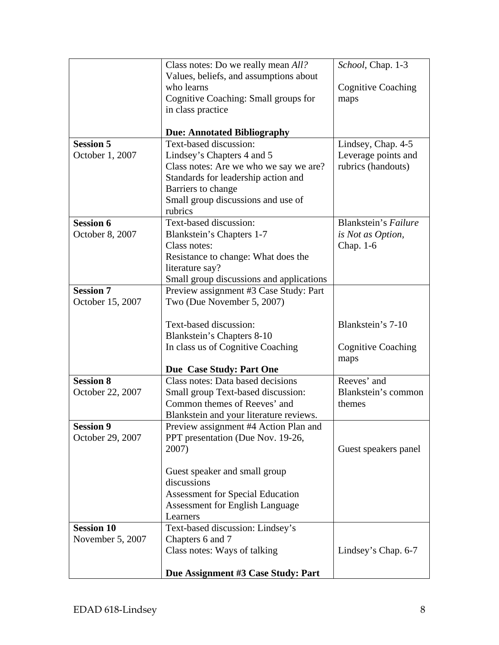|                   | Class notes: Do we really mean <i>All</i> ?  | School, Chap. 1-3         |
|-------------------|----------------------------------------------|---------------------------|
|                   | Values, beliefs, and assumptions about       |                           |
|                   | who learns                                   | <b>Cognitive Coaching</b> |
|                   | Cognitive Coaching: Small groups for         | maps                      |
|                   | in class practice                            |                           |
|                   |                                              |                           |
|                   | <b>Due: Annotated Bibliography</b>           |                           |
| <b>Session 5</b>  | Text-based discussion:                       | Lindsey, Chap. 4-5        |
| October 1, 2007   | Lindsey's Chapters 4 and 5                   | Leverage points and       |
|                   | Class notes: Are we who we say we are?       | rubrics (handouts)        |
|                   | Standards for leadership action and          |                           |
|                   | Barriers to change                           |                           |
|                   | Small group discussions and use of           |                           |
|                   | rubrics<br>Text-based discussion:            | Blankstein's Failure      |
| <b>Session 6</b>  |                                              |                           |
| October 8, 2007   | Blankstein's Chapters 1-7<br>Class notes:    | is Not as Option,         |
|                   | Resistance to change: What does the          | Chap. 1-6                 |
|                   | literature say?                              |                           |
|                   | Small group discussions and applications     |                           |
| <b>Session 7</b>  | Preview assignment #3 Case Study: Part       |                           |
| October 15, 2007  | Two (Due November 5, 2007)                   |                           |
|                   |                                              |                           |
|                   | Text-based discussion:                       | Blankstein's 7-10         |
|                   | Blankstein's Chapters 8-10                   |                           |
|                   | In class us of Cognitive Coaching            | <b>Cognitive Coaching</b> |
|                   |                                              | maps                      |
|                   | Due Case Study: Part One                     |                           |
| <b>Session 8</b>  | Class notes: Data based decisions            | Reeves' and               |
| October 22, 2007  | Small group Text-based discussion:           | Blankstein's common       |
|                   | Common themes of Reeves' and                 | themes                    |
|                   | Blankstein and your literature reviews.      |                           |
| <b>Session 9</b>  | Preview assignment #4 Action Plan and        |                           |
| October 29, 2007  | PPT presentation (Due Nov. 19-26,            |                           |
|                   | 2007)                                        | Guest speakers panel      |
|                   |                                              |                           |
|                   | Guest speaker and small group<br>discussions |                           |
|                   | <b>Assessment for Special Education</b>      |                           |
|                   | <b>Assessment for English Language</b>       |                           |
|                   | Learners                                     |                           |
| <b>Session 10</b> | Text-based discussion: Lindsey's             |                           |
| November 5, 2007  | Chapters 6 and 7                             |                           |
|                   | Class notes: Ways of talking                 | Lindsey's Chap. 6-7       |
|                   |                                              |                           |
|                   | Due Assignment #3 Case Study: Part           |                           |